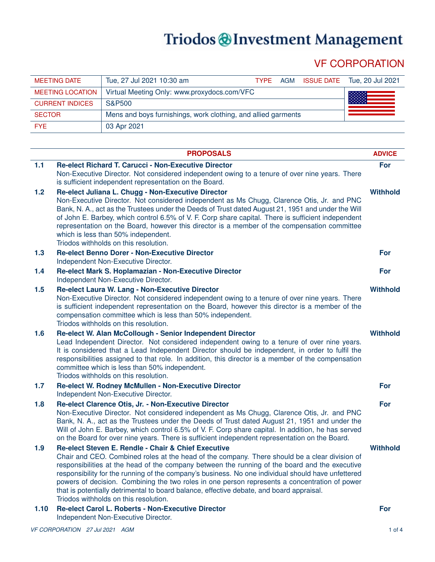# Triodos @Investment Management

# VF CORPORATION

| <b>MEETING DATE</b>     | Tue, 27 Jul 2021 10:30 am                                     | <b>TYPF</b> | AGM | ISSUE DATE Tue, 20 Jul 2021 |
|-------------------------|---------------------------------------------------------------|-------------|-----|-----------------------------|
| <b>MEETING LOCATION</b> | Virtual Meeting Only: www.proxydocs.com/VFC                   |             |     |                             |
| <b>CURRENT INDICES</b>  | S&P500                                                        |             |     |                             |
| <b>SECTOR</b>           | Mens and boys furnishings, work clothing, and allied garments |             |     |                             |
| <b>FYE</b>              | 03 Apr 2021                                                   |             |     |                             |

|      | <b>PROPOSALS</b>                                                                                                                                                                                                                                                                                                                                                                                                                                                                                                                                                                                   | <b>ADVICE</b>   |
|------|----------------------------------------------------------------------------------------------------------------------------------------------------------------------------------------------------------------------------------------------------------------------------------------------------------------------------------------------------------------------------------------------------------------------------------------------------------------------------------------------------------------------------------------------------------------------------------------------------|-----------------|
| 1.1  | Re-elect Richard T. Carucci - Non-Executive Director<br>Non-Executive Director. Not considered independent owing to a tenure of over nine years. There<br>is sufficient independent representation on the Board.                                                                                                                                                                                                                                                                                                                                                                                   | For             |
| 1.2  | Re-elect Juliana L. Chugg - Non-Executive Director<br>Non-Executive Director. Not considered independent as Ms Chugg, Clarence Otis, Jr. and PNC<br>Bank, N. A., act as the Trustees under the Deeds of Trust dated August 21, 1951 and under the Will<br>of John E. Barbey, which control 6.5% of V. F. Corp share capital. There is sufficient independent<br>representation on the Board, however this director is a member of the compensation committee<br>which is less than 50% independent.<br>Triodos withholds on this resolution.                                                       | <b>Withhold</b> |
| 1.3  | <b>Re-elect Benno Dorer - Non-Executive Director</b><br>Independent Non-Executive Director.                                                                                                                                                                                                                                                                                                                                                                                                                                                                                                        | For             |
| 1.4  | Re-elect Mark S. Hoplamazian - Non-Executive Director<br>Independent Non-Executive Director.                                                                                                                                                                                                                                                                                                                                                                                                                                                                                                       | For             |
| 1.5  | Re-elect Laura W. Lang - Non-Executive Director<br>Non-Executive Director. Not considered independent owing to a tenure of over nine years. There<br>is sufficient independent representation on the Board, however this director is a member of the<br>compensation committee which is less than 50% independent.<br>Triodos withholds on this resolution.                                                                                                                                                                                                                                        | <b>Withhold</b> |
| 1.6  | Re-elect W. Alan McCollough - Senior Independent Director<br>Lead Independent Director. Not considered independent owing to a tenure of over nine years.<br>It is considered that a Lead Independent Director should be independent, in order to fulfil the<br>responsibilities assigned to that role. In addition, this director is a member of the compensation<br>committee which is less than 50% independent.<br>Triodos withholds on this resolution.                                                                                                                                        | <b>Withhold</b> |
| 1.7  | Re-elect W. Rodney McMullen - Non-Executive Director<br>Independent Non-Executive Director.                                                                                                                                                                                                                                                                                                                                                                                                                                                                                                        | For             |
| 1.8  | Re-elect Clarence Otis, Jr. - Non-Executive Director<br>Non-Executive Director. Not considered independent as Ms Chugg, Clarence Otis, Jr. and PNC<br>Bank, N. A., act as the Trustees under the Deeds of Trust dated August 21, 1951 and under the<br>Will of John E. Barbey, which control 6.5% of V. F. Corp share capital. In addition, he has served<br>on the Board for over nine years. There is sufficient independent representation on the Board.                                                                                                                                        | For             |
| 1.9  | Re-elect Steven E. Rendle - Chair & Chief Executive<br>Chair and CEO. Combined roles at the head of the company. There should be a clear division of<br>responsibilities at the head of the company between the running of the board and the executive<br>responsibility for the running of the company's business. No one individual should have unfettered<br>powers of decision. Combining the two roles in one person represents a concentration of power<br>that is potentially detrimental to board balance, effective debate, and board appraisal.<br>Triodos withholds on this resolution. | <b>Withhold</b> |
| 1.10 | Re-elect Carol L. Roberts - Non-Executive Director<br>Independent Non-Executive Director.                                                                                                                                                                                                                                                                                                                                                                                                                                                                                                          | For             |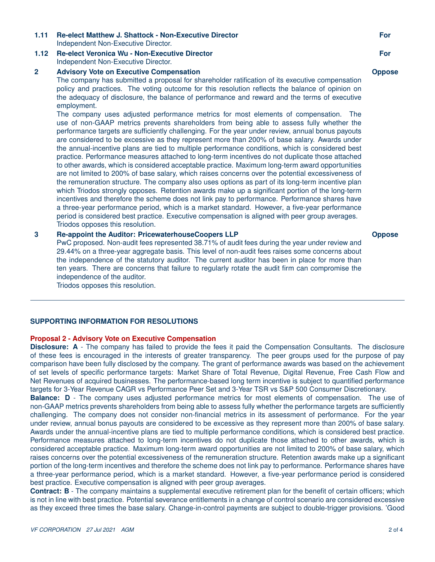# **1.11 Re-elect Matthew J. Shattock - Non-Executive Director** Independent Non-Executive Director.

# **1.12 Re-elect Veronica Wu - Non-Executive Director** Independent Non-Executive Director.

### **2 Advisory Vote on Executive Compensation**

The company has submitted a proposal for shareholder ratification of its executive compensation policy and practices. The voting outcome for this resolution reflects the balance of opinion on the adequacy of disclosure, the balance of performance and reward and the terms of executive employment.

The company uses adjusted performance metrics for most elements of compensation. The use of non-GAAP metrics prevents shareholders from being able to assess fully whether the performance targets are sufficiently challenging. For the year under review, annual bonus payouts are considered to be excessive as they represent more than 200% of base salary. Awards under the annual-incentive plans are tied to multiple performance conditions, which is considered best practice. Performance measures attached to long-term incentives do not duplicate those attached to other awards, which is considered acceptable practice. Maximum long-term award opportunities are not limited to 200% of base salary, which raises concerns over the potential excessiveness of the remuneration structure. The company also uses options as part of its long-term incentive plan which Triodos strongly opposes. Retention awards make up a significant portion of the long-term incentives and therefore the scheme does not link pay to performance. Performance shares have a three-year performance period, which is a market standard. However, a five-year performance period is considered best practice. Executive compensation is aligned with peer group averages. Triodos opposes this resolution.

# **3 Re-appoint the Auditor: PricewaterhouseCoopers LLP**

PwC proposed. Non-audit fees represented 38.71% of audit fees during the year under review and 29.44% on a three-year aggregate basis. This level of non-audit fees raises some concerns about the independence of the statutory auditor. The current auditor has been in place for more than ten years. There are concerns that failure to regularly rotate the audit firm can compromise the independence of the auditor.

Triodos opposes this resolution.

# **SUPPORTING INFORMATION FOR RESOLUTIONS**

# **Proposal 2 - Advisory Vote on Executive Compensation**

**Disclosure: A** - The company has failed to provide the fees it paid the Compensation Consultants. The disclosure of these fees is encouraged in the interests of greater transparency. The peer groups used for the purpose of pay comparison have been fully disclosed by the company. The grant of performance awards was based on the achievement of set levels of specific performance targets: Market Share of Total Revenue, Digital Revenue, Free Cash Flow and Net Revenues of acquired businesses. The performance-based long term incentive is subject to quantified performance targets for 3-Year Revenue CAGR vs Performance Peer Set and 3-Year TSR vs S&P 500 Consumer Discretionary.

**Balance: D** - The company uses adjusted performance metrics for most elements of compensation. The use of non-GAAP metrics prevents shareholders from being able to assess fully whether the performance targets are sufficiently challenging. The company does not consider non-financial metrics in its assessment of performance. For the year under review, annual bonus payouts are considered to be excessive as they represent more than 200% of base salary. Awards under the annual-incentive plans are tied to multiple performance conditions, which is considered best practice. Performance measures attached to long-term incentives do not duplicate those attached to other awards, which is considered acceptable practice. Maximum long-term award opportunities are not limited to 200% of base salary, which raises concerns over the potential excessiveness of the remuneration structure. Retention awards make up a significant portion of the long-term incentives and therefore the scheme does not link pay to performance. Performance shares have a three-year performance period, which is a market standard. However, a five-year performance period is considered best practice. Executive compensation is aligned with peer group averages.

**Contract: B** - The company maintains a supplemental executive retirement plan for the benefit of certain officers; which is not in line with best practice. Potential severance entitlements in a change of control scenario are considered excessive as they exceed three times the base salary. Change-in-control payments are subject to double-trigger provisions. 'Good

#### **Oppose**

# **For Oppose**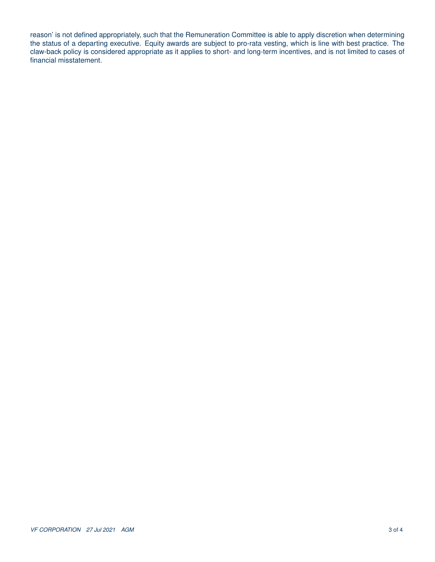reason' is not defined appropriately, such that the Remuneration Committee is able to apply discretion when determining the status of a departing executive. Equity awards are subject to pro-rata vesting, which is line with best practice. The claw-back policy is considered appropriate as it applies to short- and long-term incentives, and is not limited to cases of financial misstatement.